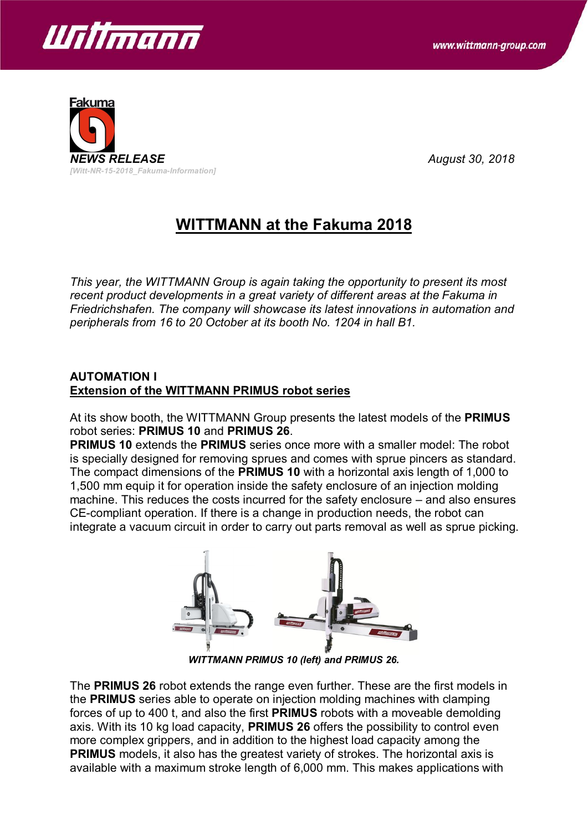



# **WITTMANN at the Fakuma 2018**

*This year, the WITTMANN Group is again taking the opportunity to present its most recent product developments in a great variety of different areas at the Fakuma in Friedrichshafen. The company will showcase its latest innovations in automation and peripherals from 16 to 20 October at its booth No. 1204 in hall B1.*

#### **AUTOMATION I Extension of the WITTMANN PRIMUS robot series**

At its show booth, the WITTMANN Group presents the latest models of the **PRIMUS** robot series: **PRIMUS 10** and **PRIMUS 26**.

**PRIMUS 10** extends the **PRIMUS** series once more with a smaller model: The robot is specially designed for removing sprues and comes with sprue pincers as standard. The compact dimensions of the **PRIMUS 10** with a horizontal axis length of 1,000 to 1,500 mm equip it for operation inside the safety enclosure of an injection molding machine. This reduces the costs incurred for the safety enclosure – and also ensures CE-compliant operation. If there is a change in production needs, the robot can integrate a vacuum circuit in order to carry out parts removal as well as sprue picking.



*WITTMANN PRIMUS 10 (left) and PRIMUS 26.*

The **PRIMUS 26** robot extends the range even further. These are the first models in the **PRIMUS** series able to operate on injection molding machines with clamping forces of up to 400 t, and also the first **PRIMUS** robots with a moveable demolding axis. With its 10 kg load capacity, **PRIMUS 26** offers the possibility to control even more complex grippers, and in addition to the highest load capacity among the **PRIMUS** models, it also has the greatest variety of strokes. The horizontal axis is available with a maximum stroke length of 6,000 mm. This makes applications with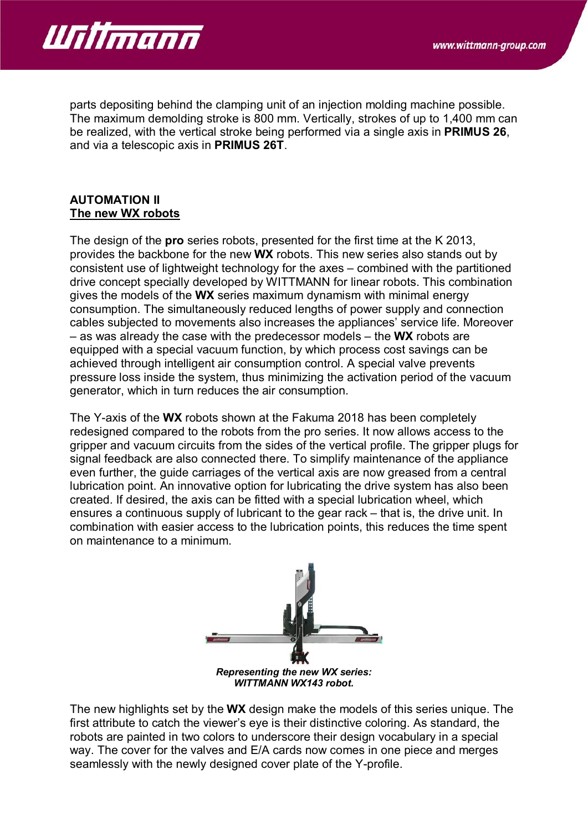

parts depositing behind the clamping unit of an injection molding machine possible. The maximum demolding stroke is 800 mm. Vertically, strokes of up to 1,400 mm can be realized, with the vertical stroke being performed via a single axis in **PRIMUS 26**, and via a telescopic axis in **PRIMUS 26T**.

#### **AUTOMATION II The new WX robots**

The design of the **pro** series robots, presented for the first time at the K 2013, provides the backbone for the new **WX** robots. This new series also stands out by consistent use of lightweight technology for the axes – combined with the partitioned drive concept specially developed by WITTMANN for linear robots. This combination gives the models of the **WX** series maximum dynamism with minimal energy consumption. The simultaneously reduced lengths of power supply and connection cables subjected to movements also increases the appliances' service life. Moreover – as was already the case with the predecessor models – the **WX** robots are equipped with a special vacuum function, by which process cost savings can be achieved through intelligent air consumption control. A special valve prevents pressure loss inside the system, thus minimizing the activation period of the vacuum generator, which in turn reduces the air consumption.

The Y-axis of the **WX** robots shown at the Fakuma 2018 has been completely redesigned compared to the robots from the pro series. It now allows access to the gripper and vacuum circuits from the sides of the vertical profile. The gripper plugs for signal feedback are also connected there. To simplify maintenance of the appliance even further, the guide carriages of the vertical axis are now greased from a central lubrication point. An innovative option for lubricating the drive system has also been created. If desired, the axis can be fitted with a special lubrication wheel, which ensures a continuous supply of lubricant to the gear rack – that is, the drive unit. In combination with easier access to the lubrication points, this reduces the time spent on maintenance to a minimum.



*WITTMANN WX143 robot.*

The new highlights set by the **WX** design make the models of this series unique. The first attribute to catch the viewer's eye is their distinctive coloring. As standard, the robots are painted in two colors to underscore their design vocabulary in a special way. The cover for the valves and E/A cards now comes in one piece and merges seamlessly with the newly designed cover plate of the Y-profile.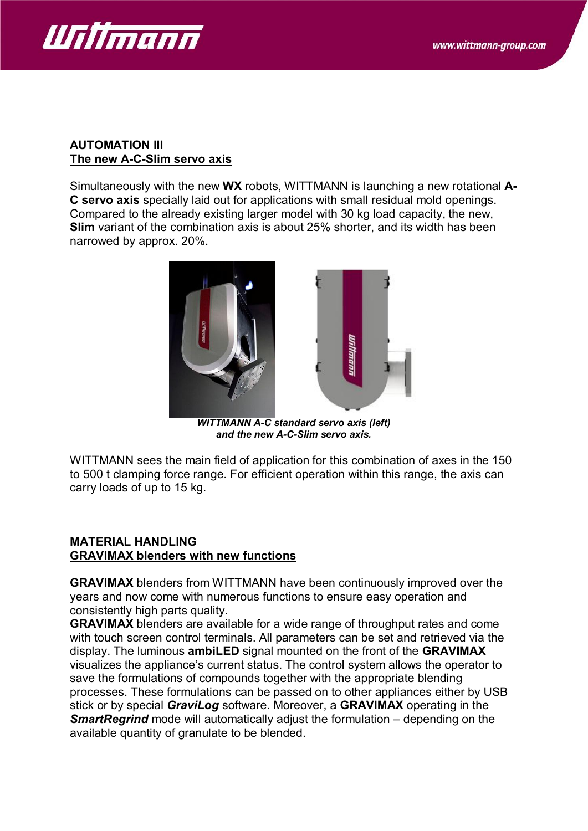

#### **AUTOMATION III The new A-C-Slim servo axis**

Simultaneously with the new **WX** robots, WITTMANN is launching a new rotational **A-C servo axis** specially laid out for applications with small residual mold openings. Compared to the already existing larger model with 30 kg load capacity, the new, **Slim** variant of the combination axis is about 25% shorter, and its width has been narrowed by approx. 20%.



*WITTMANN A-C standard servo axis (left) and the new A-C-Slim servo axis.*

WITTMANN sees the main field of application for this combination of axes in the 150 to 500 t clamping force range. For efficient operation within this range, the axis can carry loads of up to 15 kg.

# **MATERIAL HANDLING GRAVIMAX blenders with new functions**

**GRAVIMAX** blenders from WITTMANN have been continuously improved over the years and now come with numerous functions to ensure easy operation and consistently high parts quality.

**GRAVIMAX** blenders are available for a wide range of throughput rates and come with touch screen control terminals. All parameters can be set and retrieved via the display. The luminous **ambiLED** signal mounted on the front of the **GRAVIMAX** visualizes the appliance's current status. The control system allows the operator to save the formulations of compounds together with the appropriate blending processes. These formulations can be passed on to other appliances either by USB stick or by special *GraviLog* software. Moreover, a **GRAVIMAX** operating in the **SmartRegrind** mode will automatically adjust the formulation – depending on the available quantity of granulate to be blended.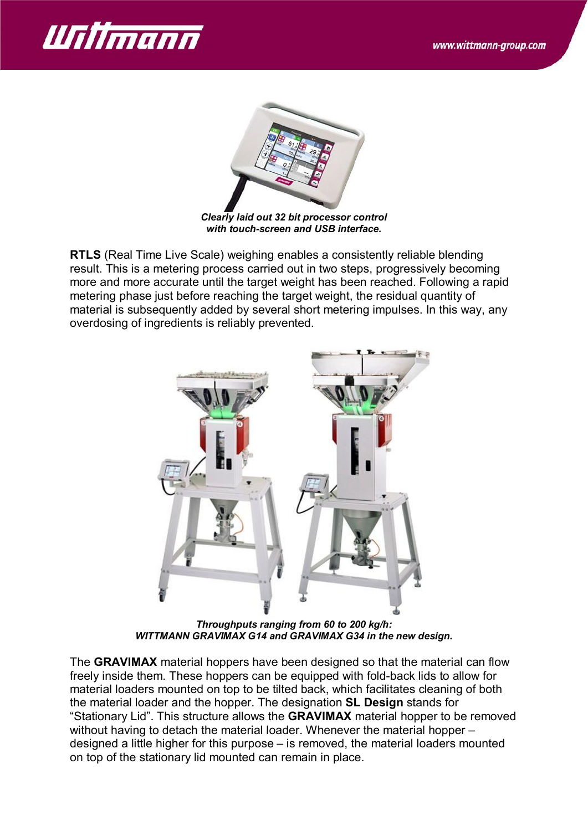



*Clearly laid out 32 bit processor control with touch-screen and USB interface.*

**RTLS** (Real Time Live Scale) weighing enables a consistently reliable blending result. This is a metering process carried out in two steps, progressively becoming more and more accurate until the target weight has been reached. Following a rapid metering phase just before reaching the target weight, the residual quantity of material is subsequently added by several short metering impulses. In this way, any overdosing of ingredients is reliably prevented.



*Throughputs ranging from 60 to 200 kg/h: WITTMANN GRAVIMAX G14 and GRAVIMAX G34 in the new design.*

The **GRAVIMAX** material hoppers have been designed so that the material can flow freely inside them. These hoppers can be equipped with fold-back lids to allow for material loaders mounted on top to be tilted back, which facilitates cleaning of both the material loader and the hopper. The designation **SL Design** stands for "Stationary Lid". This structure allows the **GRAVIMAX** material hopper to be removed without having to detach the material loader. Whenever the material hopper – designed a little higher for this purpose – is removed, the material loaders mounted on top of the stationary lid mounted can remain in place.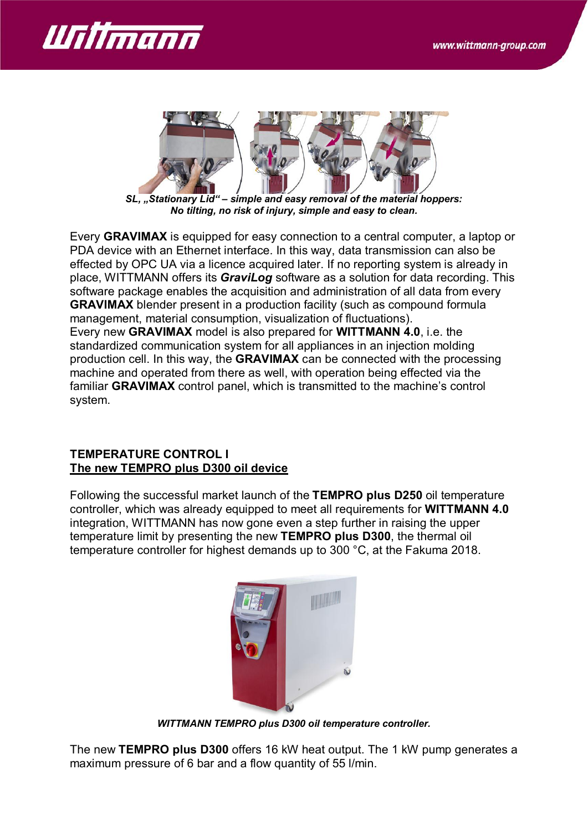



*SL, "Stationary Lid" – simple and easy removal of the material hoppers: No tilting, no risk of injury, simple and easy to clean.*

Every **GRAVIMAX** is equipped for easy connection to a central computer, a laptop or PDA device with an Ethernet interface. In this way, data transmission can also be effected by OPC UA via a licence acquired later. If no reporting system is already in place, WITTMANN offers its *GraviLog* software as a solution for data recording. This software package enables the acquisition and administration of all data from every **GRAVIMAX** blender present in a production facility (such as compound formula management, material consumption, visualization of fluctuations). Every new **GRAVIMAX** model is also prepared for **WITTMANN 4.0**, i.e. the standardized communication system for all appliances in an injection molding production cell. In this way, the **GRAVIMAX** can be connected with the processing machine and operated from there as well, with operation being effected via the familiar **GRAVIMAX** control panel, which is transmitted to the machine's control system.

#### **TEMPERATURE CONTROL I The new TEMPRO plus D300 oil device**

Following the successful market launch of the **TEMPRO plus D250** oil temperature controller, which was already equipped to meet all requirements for **WITTMANN 4.0** integration, WITTMANN has now gone even a step further in raising the upper temperature limit by presenting the new **TEMPRO plus D300**, the thermal oil temperature controller for highest demands up to 300 °C, at the Fakuma 2018.



*WITTMANN TEMPRO plus D300 oil temperature controller.*

The new **TEMPRO plus D300** offers 16 kW heat output. The 1 kW pump generates a maximum pressure of 6 bar and a flow quantity of 55 l/min.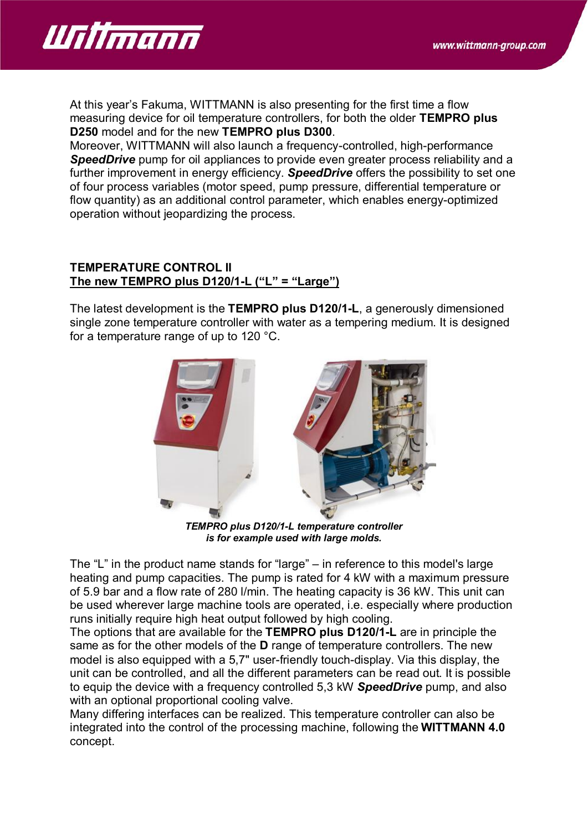

At this year's Fakuma, WITTMANN is also presenting for the first time a flow measuring device for oil temperature controllers, for both the older **TEMPRO plus D250** model and for the new **TEMPRO plus D300**.

Moreover, WITTMANN will also launch a frequency-controlled, high-performance **SpeedDrive** pump for oil appliances to provide even greater process reliability and a further improvement in energy efficiency. *SpeedDrive* offers the possibility to set one of four process variables (motor speed, pump pressure, differential temperature or flow quantity) as an additional control parameter, which enables energy-optimized operation without jeopardizing the process.

#### **TEMPERATURE CONTROL II The new TEMPRO plus D120/1-L ("L" = "Large")**

The latest development is the **TEMPRO plus D120/1-L**, a generously dimensioned single zone temperature controller with water as a tempering medium. It is designed for a temperature range of up to 120 °C.



*TEMPRO plus D120/1-L temperature controller is for example used with large molds.*

The "L" in the product name stands for "large" – in reference to this model's large heating and pump capacities. The pump is rated for 4 kW with a maximum pressure of 5.9 bar and a flow rate of 280 l/min. The heating capacity is 36 kW. This unit can be used wherever large machine tools are operated, i.e. especially where production runs initially require high heat output followed by high cooling.

The options that are available for the **TEMPRO plus D120/1-L** are in principle the same as for the other models of the **D** range of temperature controllers. The new model is also equipped with a 5,7" user-friendly touch-display. Via this display, the unit can be controlled, and all the different parameters can be read out. It is possible to equip the device with a frequency controlled 5,3 kW *SpeedDrive* pump, and also with an optional proportional cooling valve.

Many differing interfaces can be realized. This temperature controller can also be integrated into the control of the processing machine, following the **WITTMANN 4.0** concept.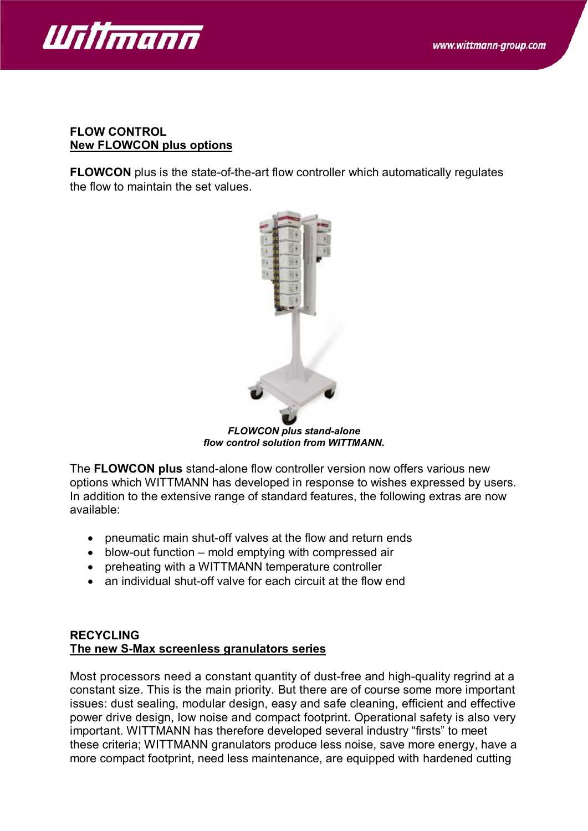

#### **FLOW CONTROL New FLOWCON plus options**

**FLOWCON** plus is the state-of-the-art flow controller which automatically regulates the flow to maintain the set values.



*FLOWCON plus stand-alone flow control solution from WITTMANN.*

The **FLOWCON plus** stand-alone flow controller version now offers various new options which WITTMANN has developed in response to wishes expressed by users. In addition to the extensive range of standard features, the following extras are now available:

- pneumatic main shut-off valves at the flow and return ends
- blow-out function mold emptying with compressed air
- · preheating with a WITTMANN temperature controller
- an individual shut-off valve for each circuit at the flow end

# **RECYCLING The new S-Max screenless granulators series**

Most processors need a constant quantity of dust-free and high-quality regrind at a constant size. This is the main priority. But there are of course some more important issues: dust sealing, modular design, easy and safe cleaning, efficient and effective power drive design, low noise and compact footprint. Operational safety is also very important. WITTMANN has therefore developed several industry "firsts" to meet these criteria; WITTMANN granulators produce less noise, save more energy, have a more compact footprint, need less maintenance, are equipped with hardened cutting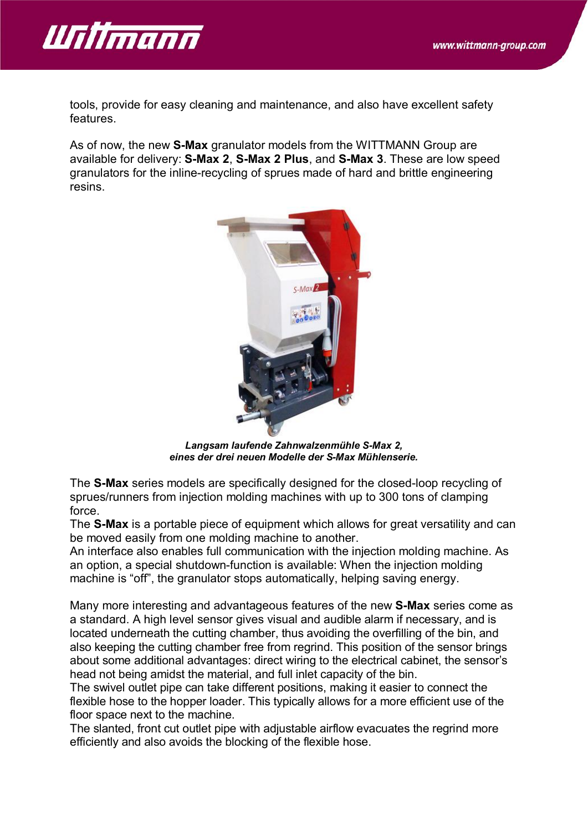

tools, provide for easy cleaning and maintenance, and also have excellent safety features.

As of now, the new **S-Max** granulator models from the WITTMANN Group are available for delivery: **S-Max 2**, **S-Max 2 Plus**, and **S-Max 3**. These are low speed granulators for the inline-recycling of sprues made of hard and brittle engineering resins.



*Langsam laufende Zahnwalzenmühle S-Max 2, eines der drei neuen Modelle der S-Max Mühlenserie.*

The **S-Max** series models are specifically designed for the closed-loop recycling of sprues/runners from injection molding machines with up to 300 tons of clamping force.

The **S-Max** is a portable piece of equipment which allows for great versatility and can be moved easily from one molding machine to another.

An interface also enables full communication with the injection molding machine. As an option, a special shutdown-function is available: When the injection molding machine is "off", the granulator stops automatically, helping saving energy.

Many more interesting and advantageous features of the new **S-Max** series come as a standard. A high level sensor gives visual and audible alarm if necessary, and is located underneath the cutting chamber, thus avoiding the overfilling of the bin, and also keeping the cutting chamber free from regrind. This position of the sensor brings about some additional advantages: direct wiring to the electrical cabinet, the sensor's head not being amidst the material, and full inlet capacity of the bin.

The swivel outlet pipe can take different positions, making it easier to connect the flexible hose to the hopper loader. This typically allows for a more efficient use of the floor space next to the machine.

The slanted, front cut outlet pipe with adjustable airflow evacuates the regrind more efficiently and also avoids the blocking of the flexible hose.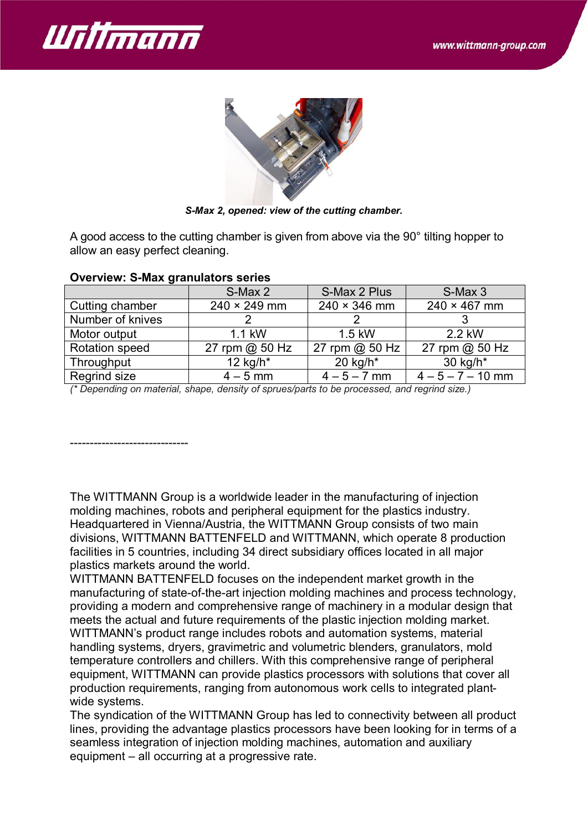



*S-Max 2, opened: view of the cutting chamber.*

A good access to the cutting chamber is given from above via the 90° tilting hopper to allow an easy perfect cleaning.

|                  | S-Max 2             | S-Max 2 Plus        | S-Max 3             |
|------------------|---------------------|---------------------|---------------------|
| Cutting chamber  | $240 \times 249$ mm | $240 \times 346$ mm | $240 \times 467$ mm |
| Number of knives |                     |                     |                     |
| Motor output     | 1.1 kW              | 1.5 kW              | 2.2 kW              |
| Rotation speed   | 27 rpm @ 50 Hz      | 27 rpm @ 50 Hz      | 27 rpm @ 50 Hz      |
| Throughput       | 12 kg/h $*$         | 20 kg/h $*$         | 30 kg/h*            |
| Regrind size     | $4 - 5$ mm          | $4 - 5 - 7$ mm      | $4 - 5 - 7 - 10$ mm |

#### **Overview: S-Max granulators series**

*(\* Depending on material, shape, density of sprues/parts to be processed, and regrind size.)*

------------------------------

The WITTMANN Group is a worldwide leader in the manufacturing of injection molding machines, robots and peripheral equipment for the plastics industry. Headquartered in Vienna/Austria, the WITTMANN Group consists of two main divisions, WITTMANN BATTENFELD and WITTMANN, which operate 8 production facilities in 5 countries, including 34 direct subsidiary offices located in all major plastics markets around the world.

WITTMANN BATTENFELD focuses on the independent market growth in the manufacturing of state-of-the-art injection molding machines and process technology, providing a modern and comprehensive range of machinery in a modular design that meets the actual and future requirements of the plastic injection molding market. WITTMANN's product range includes robots and automation systems, material handling systems, dryers, gravimetric and volumetric blenders, granulators, mold temperature controllers and chillers. With this comprehensive range of peripheral equipment, WITTMANN can provide plastics processors with solutions that cover all production requirements, ranging from autonomous work cells to integrated plantwide systems.

The syndication of the WITTMANN Group has led to connectivity between all product lines, providing the advantage plastics processors have been looking for in terms of a seamless integration of injection molding machines, automation and auxiliary equipment – all occurring at a progressive rate.